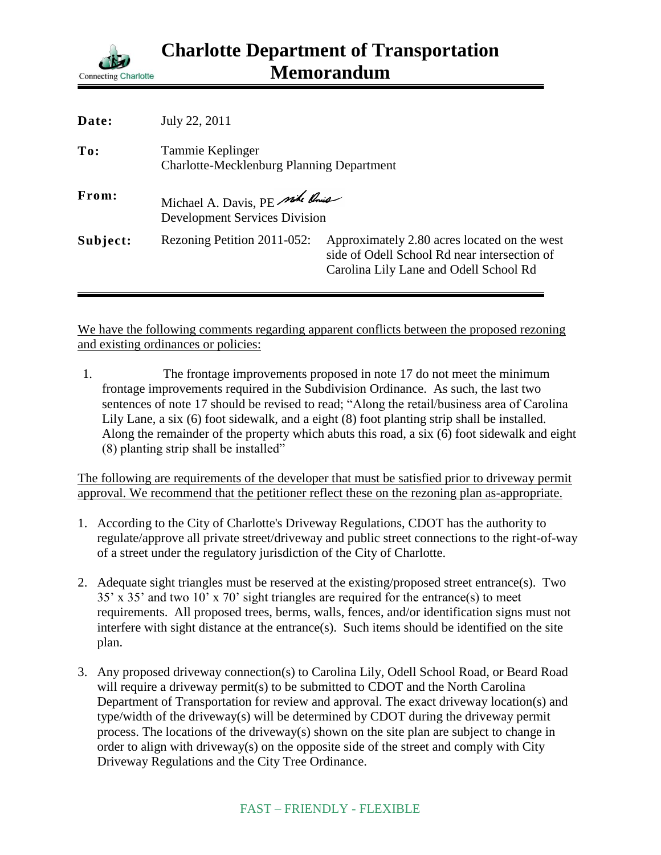

| Date:    | July 22, 2011                                                          |                                                                                                                                        |
|----------|------------------------------------------------------------------------|----------------------------------------------------------------------------------------------------------------------------------------|
| To:      | Tammie Keplinger<br><b>Charlotte-Mecklenburg Planning Department</b>   |                                                                                                                                        |
| From:    | Michael A. Davis, PE side Rous<br><b>Development Services Division</b> |                                                                                                                                        |
| Subject: | Rezoning Petition 2011-052:                                            | Approximately 2.80 acres located on the west<br>side of Odell School Rd near intersection of<br>Carolina Lily Lane and Odell School Rd |

We have the following comments regarding apparent conflicts between the proposed rezoning and existing ordinances or policies:

1. The frontage improvements proposed in note 17 do not meet the minimum frontage improvements required in the Subdivision Ordinance. As such, the last two sentences of note 17 should be revised to read; "Along the retail/business area of Carolina Lily Lane, a six (6) foot sidewalk, and a eight (8) foot planting strip shall be installed. Along the remainder of the property which abuts this road, a six (6) foot sidewalk and eight (8) planting strip shall be installed"

The following are requirements of the developer that must be satisfied prior to driveway permit approval. We recommend that the petitioner reflect these on the rezoning plan as-appropriate.

- 1. According to the City of Charlotte's Driveway Regulations, CDOT has the authority to regulate/approve all private street/driveway and public street connections to the right-of-way of a street under the regulatory jurisdiction of the City of Charlotte.
- 2. Adequate sight triangles must be reserved at the existing/proposed street entrance(s). Two 35' x 35' and two 10' x 70' sight triangles are required for the entrance(s) to meet requirements. All proposed trees, berms, walls, fences, and/or identification signs must not interfere with sight distance at the entrance(s). Such items should be identified on the site plan.
- 3. Any proposed driveway connection(s) to Carolina Lily, Odell School Road, or Beard Road will require a driveway permit(s) to be submitted to CDOT and the North Carolina Department of Transportation for review and approval. The exact driveway location(s) and type/width of the driveway(s) will be determined by CDOT during the driveway permit process. The locations of the driveway(s) shown on the site plan are subject to change in order to align with driveway(s) on the opposite side of the street and comply with City Driveway Regulations and the City Tree Ordinance.